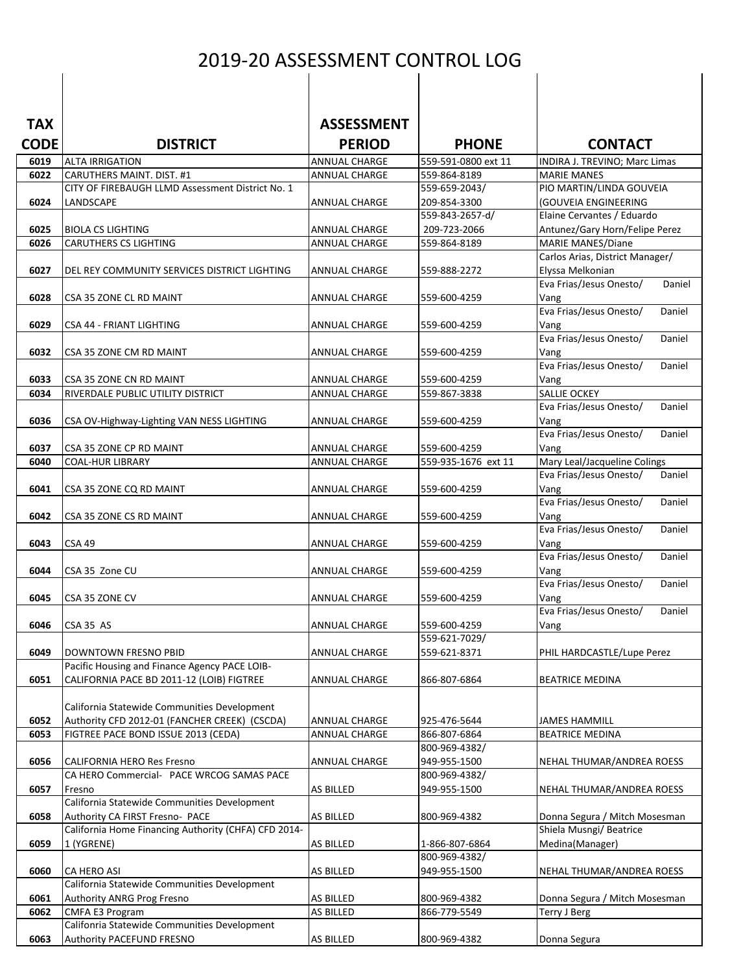## 2019-20 ASSESSMENT CONTROL LOG

| <b>TAX</b>   |                                                                                               | <b>ASSESSMENT</b>              |                                     |                                                     |
|--------------|-----------------------------------------------------------------------------------------------|--------------------------------|-------------------------------------|-----------------------------------------------------|
| <b>CODE</b>  | <b>DISTRICT</b>                                                                               | <b>PERIOD</b>                  | <b>PHONE</b>                        | <b>CONTACT</b>                                      |
| 6019<br>6022 | <b>ALTA IRRIGATION</b><br>CARUTHERS MAINT. DIST. #1                                           | ANNUAL CHARGE<br>ANNUAL CHARGE | 559-591-0800 ext 11<br>559-864-8189 | INDIRA J. TREVINO; Marc Limas<br><b>MARIE MANES</b> |
|              | CITY OF FIREBAUGH LLMD Assessment District No. 1                                              |                                | 559-659-2043/                       | PIO MARTIN/LINDA GOUVEIA                            |
| 6024         | LANDSCAPE                                                                                     | ANNUAL CHARGE                  | 209-854-3300                        | (GOUVEIA ENGINEERING                                |
|              |                                                                                               |                                | 559-843-2657-d/                     | Elaine Cervantes / Eduardo                          |
| 6025         | <b>BIOLA CS LIGHTING</b>                                                                      | <b>ANNUAL CHARGE</b>           | 209-723-2066                        | Antunez/Gary Horn/Felipe Perez                      |
| 6026         | <b>CARUTHERS CS LIGHTING</b>                                                                  | ANNUAL CHARGE                  | 559-864-8189                        | <b>MARIE MANES/Diane</b>                            |
| 6027         |                                                                                               |                                |                                     | Carlos Arias, District Manager/<br>Elyssa Melkonian |
|              | DEL REY COMMUNITY SERVICES DISTRICT LIGHTING                                                  | ANNUAL CHARGE                  | 559-888-2272                        | Eva Frias/Jesus Onesto/<br>Daniel                   |
| 6028         | CSA 35 ZONE CL RD MAINT                                                                       | ANNUAL CHARGE                  | 559-600-4259                        | Vang                                                |
|              |                                                                                               |                                |                                     | Eva Frias/Jesus Onesto/<br>Daniel                   |
| 6029         | CSA 44 - FRIANT LIGHTING                                                                      | <b>ANNUAL CHARGE</b>           | 559-600-4259                        | Vang                                                |
|              |                                                                                               |                                |                                     | Eva Frias/Jesus Onesto/<br>Daniel                   |
| 6032         | CSA 35 ZONE CM RD MAINT                                                                       | ANNUAL CHARGE                  | 559-600-4259                        | Vang<br>Eva Frias/Jesus Onesto/<br>Daniel           |
| 6033         | CSA 35 ZONE CN RD MAINT                                                                       | ANNUAL CHARGE                  | 559-600-4259                        | Vang                                                |
| 6034         | RIVERDALE PUBLIC UTILITY DISTRICT                                                             | <b>ANNUAL CHARGE</b>           | 559-867-3838                        | <b>SALLIE OCKEY</b>                                 |
|              |                                                                                               |                                |                                     | Eva Frias/Jesus Onesto/<br>Daniel                   |
| 6036         | CSA OV-Highway-Lighting VAN NESS LIGHTING                                                     | ANNUAL CHARGE                  | 559-600-4259                        | Vang                                                |
|              |                                                                                               |                                |                                     | Eva Frias/Jesus Onesto/<br>Daniel                   |
| 6037<br>6040 | CSA 35 ZONE CP RD MAINT<br><b>COAL-HUR LIBRARY</b>                                            | ANNUAL CHARGE<br>ANNUAL CHARGE | 559-600-4259<br>559-935-1676 ext 11 | Vang<br>Mary Leal/Jacqueline Colings                |
|              |                                                                                               |                                |                                     | Eva Frias/Jesus Onesto/<br>Daniel                   |
| 6041         | CSA 35 ZONE CQ RD MAINT                                                                       | ANNUAL CHARGE                  | 559-600-4259                        | Vang                                                |
|              |                                                                                               |                                |                                     | Eva Frias/Jesus Onesto/<br>Daniel                   |
| 6042         | CSA 35 ZONE CS RD MAINT                                                                       | ANNUAL CHARGE                  | 559-600-4259                        | Vang                                                |
| 6043         | <b>CSA 49</b>                                                                                 |                                |                                     | Eva Frias/Jesus Onesto/<br>Daniel                   |
|              |                                                                                               | ANNUAL CHARGE                  | 559-600-4259                        | Vang<br>Eva Frias/Jesus Onesto/<br>Daniel           |
| 6044         | CSA 35 Zone CU                                                                                | <b>ANNUAL CHARGE</b>           | 559-600-4259                        | Vang                                                |
|              |                                                                                               |                                |                                     | Eva Frias/Jesus Onesto/<br>Daniel                   |
| 6045         | CSA 35 ZONE CV                                                                                | ANNUAL CHARGE                  | 559-600-4259                        | Vang                                                |
|              |                                                                                               |                                |                                     | Eva Frias/Jesus Onesto/<br>Daniel                   |
| 6046         | CSA 35 AS                                                                                     | <b>ANNUAL CHARGE</b>           | 559-600-4259<br>559-621-7029/       | Vang                                                |
| 6049         | DOWNTOWN FRESNO PBID                                                                          | ANNUAL CHARGE                  | 559-621-8371                        | PHIL HARDCASTLE/Lupe Perez                          |
|              | Pacific Housing and Finance Agency PACE LOIB-                                                 |                                |                                     |                                                     |
| 6051         | CALIFORNIA PACE BD 2011-12 (LOIB) FIGTREE                                                     | <b>ANNUAL CHARGE</b>           | 866-807-6864                        | <b>BEATRICE MEDINA</b>                              |
|              |                                                                                               |                                |                                     |                                                     |
| 6052         | California Statewide Communities Development<br>Authority CFD 2012-01 (FANCHER CREEK) (CSCDA) | <b>ANNUAL CHARGE</b>           | 925-476-5644                        | <b>JAMES HAMMILL</b>                                |
| 6053         | FIGTREE PACE BOND ISSUE 2013 (CEDA)                                                           | ANNUAL CHARGE                  | 866-807-6864                        | <b>BEATRICE MEDINA</b>                              |
|              |                                                                                               |                                | 800-969-4382/                       |                                                     |
| 6056         | <b>CALIFORNIA HERO Res Fresno</b>                                                             | ANNUAL CHARGE                  | 949-955-1500                        | NEHAL THUMAR/ANDREA ROESS                           |
|              | CA HERO Commercial- PACE WRCOG SAMAS PACE                                                     |                                | 800-969-4382/                       |                                                     |
| 6057         | Fresno                                                                                        | <b>AS BILLED</b>               | 949-955-1500                        | NEHAL THUMAR/ANDREA ROESS                           |
| 6058         | California Statewide Communities Development<br>Authority CA FIRST Fresno- PACE               | AS BILLED                      | 800-969-4382                        | Donna Segura / Mitch Mosesman                       |
|              | California Home Financing Authority (CHFA) CFD 2014-                                          |                                |                                     | Shiela Musngi/ Beatrice                             |
| 6059         | 1 (YGRENE)                                                                                    | AS BILLED                      | 1-866-807-6864                      | Medina(Manager)                                     |
|              |                                                                                               |                                | 800-969-4382/                       |                                                     |
| 6060         | CA HERO ASI                                                                                   | <b>AS BILLED</b>               | 949-955-1500                        | NEHAL THUMAR/ANDREA ROESS                           |
| 6061         | California Statewide Communities Development<br>Authority ANRG Prog Fresno                    | <b>AS BILLED</b>               | 800-969-4382                        | Donna Segura / Mitch Mosesman                       |
| 6062         | CMFA E3 Program                                                                               | AS BILLED                      | 866-779-5549                        | <b>Terry J Berg</b>                                 |
|              | Califonria Statewide Communities Development                                                  |                                |                                     |                                                     |
| 6063         | Authority PACEFUND FRESNO                                                                     | <b>AS BILLED</b>               | 800-969-4382                        | Donna Segura                                        |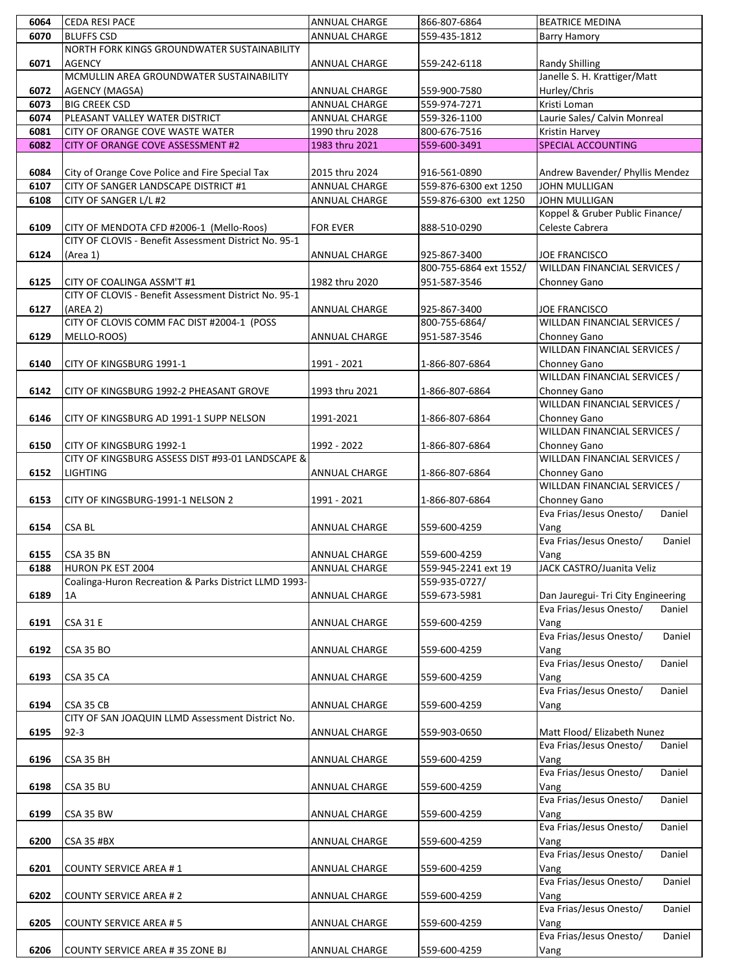| 6064 | <b>CEDA RESI PACE</b>                                                        | ANNUAL CHARGE        | 866-807-6864                  | <b>BEATRICE MEDINA</b>                       |
|------|------------------------------------------------------------------------------|----------------------|-------------------------------|----------------------------------------------|
| 6070 | <b>BLUFFS CSD</b>                                                            | ANNUAL CHARGE        | 559-435-1812                  | <b>Barry Hamory</b>                          |
|      | NORTH FORK KINGS GROUNDWATER SUSTAINABILITY                                  |                      |                               |                                              |
| 6071 | <b>AGENCY</b>                                                                | <b>ANNUAL CHARGE</b> | 559-242-6118                  | <b>Randy Shilling</b>                        |
|      | MCMULLIN AREA GROUNDWATER SUSTAINABILITY                                     |                      |                               | Janelle S. H. Krattiger/Matt                 |
| 6072 | <b>AGENCY (MAGSA)</b>                                                        | ANNUAL CHARGE        | 559-900-7580                  | Hurley/Chris                                 |
| 6073 | <b>BIG CREEK CSD</b>                                                         | <b>ANNUAL CHARGE</b> | 559-974-7271                  | Kristi Loman                                 |
| 6074 | PLEASANT VALLEY WATER DISTRICT                                               | <b>ANNUAL CHARGE</b> | 559-326-1100                  | Laurie Sales/ Calvin Monreal                 |
| 6081 | CITY OF ORANGE COVE WASTE WATER                                              | 1990 thru 2028       | 800-676-7516                  | Kristin Harvey                               |
| 6082 | CITY OF ORANGE COVE ASSESSMENT #2                                            | 1983 thru 2021       | 559-600-3491                  | <b>SPECIAL ACCOUNTING</b>                    |
| 6084 | City of Orange Cove Police and Fire Special Tax                              | 2015 thru 2024       | 916-561-0890                  | Andrew Bavender/ Phyllis Mendez              |
| 6107 | CITY OF SANGER LANDSCAPE DISTRICT #1                                         | ANNUAL CHARGE        | 559-876-6300 ext 1250         | JOHN MULLIGAN                                |
| 6108 | CITY OF SANGER L/L #2                                                        | ANNUAL CHARGE        | 559-876-6300 ext 1250         | JOHN MULLIGAN                                |
|      |                                                                              |                      |                               | Koppel & Gruber Public Finance/              |
| 6109 | CITY OF MENDOTA CFD #2006-1 (Mello-Roos)                                     | <b>FOR EVER</b>      | 888-510-0290                  | Celeste Cabrera                              |
|      | CITY OF CLOVIS - Benefit Assessment District No. 95-1                        |                      |                               |                                              |
| 6124 | (Area 1)                                                                     | <b>ANNUAL CHARGE</b> | 925-867-3400                  | <b>JOE FRANCISCO</b>                         |
|      |                                                                              |                      | 800-755-6864 ext 1552/        | WILLDAN FINANCIAL SERVICES /                 |
| 6125 | CITY OF COALINGA ASSM'T #1                                                   | 1982 thru 2020       | 951-587-3546                  | Chonney Gano                                 |
|      | CITY OF CLOVIS - Benefit Assessment District No. 95-1                        |                      |                               |                                              |
| 6127 | (AREA 2)                                                                     | ANNUAL CHARGE        | 925-867-3400                  | JOE FRANCISCO                                |
| 6129 | CITY OF CLOVIS COMM FAC DIST #2004-1 (POSS<br>MELLO-ROOS)                    | <b>ANNUAL CHARGE</b> | 800-755-6864/<br>951-587-3546 | WILLDAN FINANCIAL SERVICES /<br>Chonney Gano |
|      |                                                                              |                      |                               | WILLDAN FINANCIAL SERVICES /                 |
| 6140 | CITY OF KINGSBURG 1991-1                                                     | 1991 - 2021          | 1-866-807-6864                | Chonney Gano                                 |
|      |                                                                              |                      |                               | WILLDAN FINANCIAL SERVICES /                 |
| 6142 | CITY OF KINGSBURG 1992-2 PHEASANT GROVE                                      | 1993 thru 2021       | 1-866-807-6864                | Chonney Gano                                 |
|      |                                                                              |                      |                               | WILLDAN FINANCIAL SERVICES /                 |
| 6146 | CITY OF KINGSBURG AD 1991-1 SUPP NELSON                                      | 1991-2021            | 1-866-807-6864                | Chonney Gano                                 |
|      |                                                                              |                      |                               | WILLDAN FINANCIAL SERVICES /                 |
| 6150 | CITY OF KINGSBURG 1992-1<br>CITY OF KINGSBURG ASSESS DIST #93-01 LANDSCAPE & | 1992 - 2022          | 1-866-807-6864                | Chonney Gano<br>WILLDAN FINANCIAL SERVICES / |
| 6152 | <b>LIGHTING</b>                                                              | ANNUAL CHARGE        | 1-866-807-6864                | Chonney Gano                                 |
|      |                                                                              |                      |                               | WILLDAN FINANCIAL SERVICES /                 |
| 6153 | CITY OF KINGSBURG-1991-1 NELSON 2                                            | 1991 - 2021          | 1-866-807-6864                | Chonney Gano                                 |
|      |                                                                              |                      |                               | Eva Frias/Jesus Onesto/<br>Daniel            |
| 6154 | CSA BL                                                                       | <b>ANNUAL CHARGE</b> | 559-600-4259                  | Vang                                         |
|      |                                                                              |                      |                               | Eva Frias/Jesus Onesto/<br>Daniel            |
| 6155 | CSA 35 BN                                                                    | ANNUAL CHARGE        | 559-600-4259                  | Vang                                         |
| 6188 | HURON PK EST 2004                                                            | <b>ANNUAL CHARGE</b> | 559-945-2241 ext 19           | JACK CASTRO/Juanita Veliz                    |
| 6189 | Coalinga-Huron Recreation & Parks District LLMD 1993-                        |                      | 559-935-0727/<br>559-673-5981 | Dan Jauregui- Tri City Engineering           |
|      | 1A                                                                           | ANNUAL CHARGE        |                               | Eva Frias/Jesus Onesto/<br>Daniel            |
| 6191 | <b>CSA 31 E</b>                                                              | ANNUAL CHARGE        | 559-600-4259                  | Vang                                         |
|      |                                                                              |                      |                               | Eva Frias/Jesus Onesto/<br>Daniel            |
| 6192 | <b>CSA 35 BO</b>                                                             | ANNUAL CHARGE        | 559-600-4259                  | Vang                                         |
|      |                                                                              |                      |                               | Eva Frias/Jesus Onesto/<br>Daniel            |
| 6193 | CSA 35 CA                                                                    | ANNUAL CHARGE        | 559-600-4259                  | Vang                                         |
|      |                                                                              |                      |                               | Eva Frias/Jesus Onesto/<br>Daniel            |
| 6194 | CSA 35 CB                                                                    | <b>ANNUAL CHARGE</b> | 559-600-4259                  | Vang                                         |
| 6195 | CITY OF SAN JOAQUIN LLMD Assessment District No.<br>$92 - 3$                 | ANNUAL CHARGE        | 559-903-0650                  | Matt Flood/ Elizabeth Nunez                  |
|      |                                                                              |                      |                               | Eva Frias/Jesus Onesto/<br>Daniel            |
| 6196 | CSA 35 BH                                                                    | ANNUAL CHARGE        | 559-600-4259                  | Vang                                         |
|      |                                                                              |                      |                               | Eva Frias/Jesus Onesto/<br>Daniel            |
| 6198 | CSA 35 BU                                                                    | ANNUAL CHARGE        | 559-600-4259                  | Vang                                         |
|      |                                                                              |                      |                               | Eva Frias/Jesus Onesto/<br>Daniel            |
| 6199 | CSA 35 BW                                                                    | ANNUAL CHARGE        | 559-600-4259                  | Vang                                         |
|      |                                                                              |                      |                               | Eva Frias/Jesus Onesto/<br>Daniel            |
| 6200 | <b>CSA 35 #BX</b>                                                            | ANNUAL CHARGE        | 559-600-4259                  | Vang<br>Eva Frias/Jesus Onesto/<br>Daniel    |
| 6201 | <b>COUNTY SERVICE AREA #1</b>                                                | ANNUAL CHARGE        | 559-600-4259                  | Vang                                         |
|      |                                                                              |                      |                               | Eva Frias/Jesus Onesto/<br>Daniel            |
| 6202 | <b>COUNTY SERVICE AREA #2</b>                                                | ANNUAL CHARGE        | 559-600-4259                  | Vang                                         |
|      |                                                                              |                      |                               | Eva Frias/Jesus Onesto/<br>Daniel            |
| 6205 | <b>COUNTY SERVICE AREA #5</b>                                                | ANNUAL CHARGE        | 559-600-4259                  | Vang                                         |
|      |                                                                              |                      |                               | Eva Frias/Jesus Onesto/<br>Daniel            |
| 6206 | <b>COUNTY SERVICE AREA # 35 ZONE BJ</b>                                      | <b>ANNUAL CHARGE</b> | 559-600-4259                  | Vang                                         |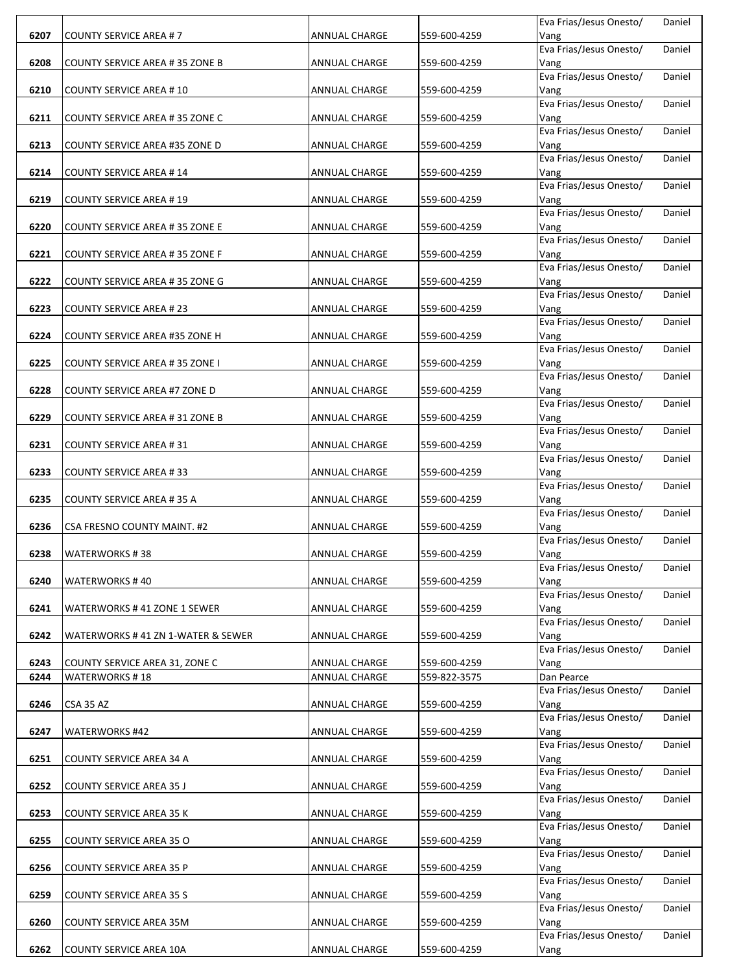|      |                                       |                      |              | Eva Frias/Jesus Onesto/         | Daniel |
|------|---------------------------------------|----------------------|--------------|---------------------------------|--------|
| 6207 | <b>COUNTY SERVICE AREA #7</b>         | <b>ANNUAL CHARGE</b> | 559-600-4259 | Vang                            |        |
|      |                                       |                      |              | Eva Frias/Jesus Onesto/         | Daniel |
| 6208 | COUNTY SERVICE AREA # 35 ZONE B       | ANNUAL CHARGE        | 559-600-4259 | Vang                            |        |
|      |                                       |                      |              | Eva Frias/Jesus Onesto/         | Daniel |
| 6210 | <b>COUNTY SERVICE AREA #10</b>        | <b>ANNUAL CHARGE</b> | 559-600-4259 | Vang<br>Eva Frias/Jesus Onesto/ | Daniel |
| 6211 | COUNTY SERVICE AREA # 35 ZONE C       | ANNUAL CHARGE        | 559-600-4259 | Vang                            |        |
|      |                                       |                      |              | Eva Frias/Jesus Onesto/         | Daniel |
| 6213 | COUNTY SERVICE AREA #35 ZONE D        | ANNUAL CHARGE        | 559-600-4259 | Vang                            |        |
|      |                                       |                      |              | Eva Frias/Jesus Onesto/         | Daniel |
| 6214 | <b>COUNTY SERVICE AREA #14</b>        | <b>ANNUAL CHARGE</b> | 559-600-4259 | Vang                            |        |
|      |                                       |                      |              | Eva Frias/Jesus Onesto/         | Daniel |
| 6219 | <b>COUNTY SERVICE AREA #19</b>        | ANNUAL CHARGE        | 559-600-4259 | Vang                            |        |
|      |                                       |                      |              | Eva Frias/Jesus Onesto/         | Daniel |
| 6220 | COUNTY SERVICE AREA # 35 ZONE E       | <b>ANNUAL CHARGE</b> | 559-600-4259 | Vang                            |        |
|      |                                       |                      |              | Eva Frias/Jesus Onesto/         | Daniel |
| 6221 | COUNTY SERVICE AREA # 35 ZONE F       | <b>ANNUAL CHARGE</b> | 559-600-4259 | Vang                            |        |
|      |                                       |                      |              | Eva Frias/Jesus Onesto/         | Daniel |
| 6222 | COUNTY SERVICE AREA # 35 ZONE G       | ANNUAL CHARGE        | 559-600-4259 | Vang                            |        |
|      |                                       |                      |              | Eva Frias/Jesus Onesto/         | Daniel |
| 6223 | <b>COUNTY SERVICE AREA #23</b>        | <b>ANNUAL CHARGE</b> | 559-600-4259 | Vang<br>Eva Frias/Jesus Onesto/ | Daniel |
| 6224 | COUNTY SERVICE AREA #35 ZONE H        | <b>ANNUAL CHARGE</b> | 559-600-4259 | Vang                            |        |
|      |                                       |                      |              | Eva Frias/Jesus Onesto/         | Daniel |
| 6225 | <b>COUNTY SERVICE AREA #35 ZONE I</b> | <b>ANNUAL CHARGE</b> | 559-600-4259 | Vang                            |        |
|      |                                       |                      |              | Eva Frias/Jesus Onesto/         | Daniel |
| 6228 | COUNTY SERVICE AREA #7 ZONE D         | ANNUAL CHARGE        | 559-600-4259 | Vang                            |        |
|      |                                       |                      |              | Eva Frias/Jesus Onesto/         | Daniel |
| 6229 | COUNTY SERVICE AREA # 31 ZONE B       | ANNUAL CHARGE        | 559-600-4259 | Vang                            |        |
|      |                                       |                      |              | Eva Frias/Jesus Onesto/         | Daniel |
| 6231 | <b>COUNTY SERVICE AREA #31</b>        | <b>ANNUAL CHARGE</b> | 559-600-4259 | Vang                            |        |
|      |                                       |                      |              | Eva Frias/Jesus Onesto/         | Daniel |
| 6233 | <b>COUNTY SERVICE AREA #33</b>        | ANNUAL CHARGE        | 559-600-4259 | Vang<br>Eva Frias/Jesus Onesto/ |        |
| 6235 |                                       |                      | 559-600-4259 |                                 | Daniel |
|      | <b>COUNTY SERVICE AREA #35 A</b>      | <b>ANNUAL CHARGE</b> |              | Vang<br>Eva Frias/Jesus Onesto/ | Daniel |
| 6236 | CSA FRESNO COUNTY MAINT. #2           | ANNUAL CHARGE        | 559-600-4259 | Vang                            |        |
|      |                                       |                      |              | Eva Frias/Jesus Onesto/         | Daniel |
| 6238 | WATERWORKS #38                        | ANNUAL CHARGE        | 559-600-4259 | Vang                            |        |
|      |                                       |                      |              | Eva Frias/Jesus Onesto/         | Daniel |
| 6240 | WATERWORKS # 40                       | <b>ANNUAL CHARGE</b> | 559-600-4259 | Vang                            |        |
|      |                                       |                      |              | Eva Frias/Jesus Onesto/         | Daniel |
| 6241 | WATERWORKS # 41 ZONE 1 SEWER          | ANNUAL CHARGE        | 559-600-4259 | Vang                            |        |
|      |                                       |                      |              | Eva Frias/Jesus Onesto/         | Daniel |
| 6242 | WATERWORKS # 41 ZN 1-WATER & SEWER    | ANNUAL CHARGE        | 559-600-4259 | Vang<br>Eva Frias/Jesus Onesto/ | Daniel |
| 6243 | COUNTY SERVICE AREA 31, ZONE C        | <b>ANNUAL CHARGE</b> | 559-600-4259 | Vang                            |        |
| 6244 | <b>WATERWORKS #18</b>                 | <b>ANNUAL CHARGE</b> | 559-822-3575 | Dan Pearce                      |        |
|      |                                       |                      |              | Eva Frias/Jesus Onesto/         | Daniel |
| 6246 | CSA 35 AZ                             | <b>ANNUAL CHARGE</b> | 559-600-4259 | Vang                            |        |
|      |                                       |                      |              | Eva Frias/Jesus Onesto/         | Daniel |
| 6247 | WATERWORKS #42                        | ANNUAL CHARGE        | 559-600-4259 | Vang                            |        |
|      |                                       |                      |              | Eva Frias/Jesus Onesto/         | Daniel |
| 6251 | COUNTY SERVICE AREA 34 A              | ANNUAL CHARGE        | 559-600-4259 | Vang                            |        |
|      |                                       |                      |              | Eva Frias/Jesus Onesto/         | Daniel |
| 6252 | COUNTY SERVICE AREA 35 J              | ANNUAL CHARGE        | 559-600-4259 | Vang                            |        |
|      |                                       |                      |              |                                 |        |
|      |                                       |                      |              | Eva Frias/Jesus Onesto/         | Daniel |
| 6253 | <b>COUNTY SERVICE AREA 35 K</b>       | ANNUAL CHARGE        | 559-600-4259 | Vang                            |        |
|      |                                       |                      |              | Eva Frias/Jesus Onesto/         | Daniel |
| 6255 | COUNTY SERVICE AREA 35 O              | ANNUAL CHARGE        | 559-600-4259 | Vang                            |        |
|      |                                       |                      |              | Eva Frias/Jesus Onesto/         | Daniel |
| 6256 | COUNTY SERVICE AREA 35 P              | ANNUAL CHARGE        | 559-600-4259 | Vang                            | Daniel |
| 6259 | <b>COUNTY SERVICE AREA 35 S</b>       | ANNUAL CHARGE        | 559-600-4259 | Eva Frias/Jesus Onesto/<br>Vang |        |
|      |                                       |                      |              | Eva Frias/Jesus Onesto/         | Daniel |
| 6260 | COUNTY SERVICE AREA 35M               | ANNUAL CHARGE        | 559-600-4259 | Vang                            |        |
|      |                                       |                      |              | Eva Frias/Jesus Onesto/         | Daniel |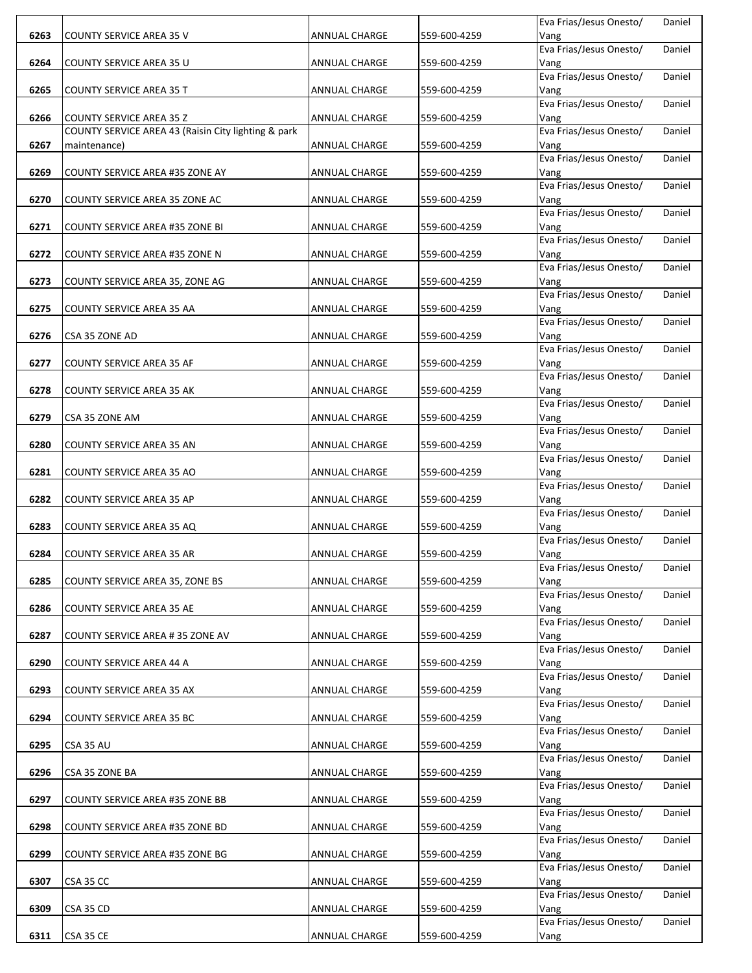|      |                                                     |                      |              | Eva Frias/Jesus Onesto/         | Daniel |
|------|-----------------------------------------------------|----------------------|--------------|---------------------------------|--------|
| 6263 | COUNTY SERVICE AREA 35 V                            | ANNUAL CHARGE        | 559-600-4259 | Vang                            |        |
|      |                                                     |                      |              | Eva Frias/Jesus Onesto/         | Daniel |
| 6264 | COUNTY SERVICE AREA 35 U                            | <b>ANNUAL CHARGE</b> | 559-600-4259 | Vang                            |        |
|      |                                                     |                      |              | Eva Frias/Jesus Onesto/         | Daniel |
| 6265 | <b>COUNTY SERVICE AREA 35 T</b>                     | ANNUAL CHARGE        | 559-600-4259 | Vang                            |        |
|      |                                                     |                      |              | Eva Frias/Jesus Onesto/         | Daniel |
| 6266 | <b>COUNTY SERVICE AREA 35 Z</b>                     | ANNUAL CHARGE        | 559-600-4259 | Vang                            |        |
|      | COUNTY SERVICE AREA 43 (Raisin City lighting & park |                      |              | Eva Frias/Jesus Onesto/         | Daniel |
| 6267 | maintenance)                                        | ANNUAL CHARGE        | 559-600-4259 | Vang                            |        |
|      |                                                     |                      |              | Eva Frias/Jesus Onesto/         | Daniel |
| 6269 | COUNTY SERVICE AREA #35 ZONE AY                     | ANNUAL CHARGE        | 559-600-4259 | Vang                            |        |
|      |                                                     |                      |              | Eva Frias/Jesus Onesto/         | Daniel |
| 6270 | COUNTY SERVICE AREA 35 ZONE AC                      | ANNUAL CHARGE        | 559-600-4259 | Vang                            |        |
|      |                                                     |                      |              | Eva Frias/Jesus Onesto/         | Daniel |
| 6271 | COUNTY SERVICE AREA #35 ZONE BI                     | ANNUAL CHARGE        | 559-600-4259 | Vang                            |        |
|      |                                                     |                      |              | Eva Frias/Jesus Onesto/         | Daniel |
| 6272 | COUNTY SERVICE AREA #35 ZONE N                      | ANNUAL CHARGE        | 559-600-4259 | Vang                            |        |
|      |                                                     |                      |              | Eva Frias/Jesus Onesto/         | Daniel |
| 6273 | COUNTY SERVICE AREA 35, ZONE AG                     | ANNUAL CHARGE        | 559-600-4259 | Vang                            |        |
|      |                                                     |                      |              | Eva Frias/Jesus Onesto/         | Daniel |
| 6275 | COUNTY SERVICE AREA 35 AA                           | <b>ANNUAL CHARGE</b> | 559-600-4259 | Vang                            |        |
|      |                                                     |                      |              | Eva Frias/Jesus Onesto/         | Daniel |
| 6276 | CSA 35 ZONE AD                                      | ANNUAL CHARGE        | 559-600-4259 | Vang                            |        |
|      |                                                     |                      |              | Eva Frias/Jesus Onesto/         | Daniel |
| 6277 | COUNTY SERVICE AREA 35 AF                           | ANNUAL CHARGE        | 559-600-4259 | Vang                            |        |
|      |                                                     |                      |              | Eva Frias/Jesus Onesto/         | Daniel |
| 6278 | <b>COUNTY SERVICE AREA 35 AK</b>                    | ANNUAL CHARGE        | 559-600-4259 | Vang                            |        |
|      |                                                     |                      |              | Eva Frias/Jesus Onesto/         | Daniel |
| 6279 | CSA 35 ZONE AM                                      | ANNUAL CHARGE        | 559-600-4259 | Vang                            |        |
|      |                                                     |                      |              | Eva Frias/Jesus Onesto/         | Daniel |
| 6280 | COUNTY SERVICE AREA 35 AN                           | ANNUAL CHARGE        | 559-600-4259 | Vang                            |        |
|      |                                                     |                      |              | Eva Frias/Jesus Onesto/         | Daniel |
| 6281 | COUNTY SERVICE AREA 35 AO                           | ANNUAL CHARGE        | 559-600-4259 | Vang                            |        |
|      |                                                     |                      |              | Eva Frias/Jesus Onesto/         | Daniel |
| 6282 | COUNTY SERVICE AREA 35 AP                           | ANNUAL CHARGE        | 559-600-4259 | Vang                            |        |
|      |                                                     |                      |              | Eva Frias/Jesus Onesto/         | Daniel |
| 6283 | COUNTY SERVICE AREA 35 AQ                           |                      |              |                                 |        |
|      |                                                     | ANNUAL CHARGE        | 559-600-4259 | Vang<br>Eva Frias/Jesus Onesto/ | Daniel |
| 6284 | <b>COUNTY SERVICE AREA 35 AR</b>                    |                      | 559-600-4259 |                                 |        |
|      |                                                     | ANNUAL CHARGE        |              | Vang<br>Eva Frias/Jesus Onesto/ | Daniel |
|      |                                                     |                      |              |                                 |        |
| 6285 | COUNTY SERVICE AREA 35, ZONE BS                     | ANNUAL CHARGE        | 559-600-4259 | Vang                            |        |
|      |                                                     |                      |              | Eva Frias/Jesus Onesto/         | Daniel |
| 6286 | <b>COUNTY SERVICE AREA 35 AE</b>                    | <b>ANNUAL CHARGE</b> | 559-600-4259 | Vang<br>Eva Frias/Jesus Onesto/ |        |
|      |                                                     |                      |              |                                 | Daniel |
| 6287 | COUNTY SERVICE AREA # 35 ZONE AV                    | ANNUAL CHARGE        | 559-600-4259 | Vang                            |        |
|      |                                                     |                      |              | Eva Frias/Jesus Onesto/         | Daniel |
| 6290 | COUNTY SERVICE AREA 44 A                            | ANNUAL CHARGE        | 559-600-4259 | Vang<br>Eva Frias/Jesus Onesto/ |        |
|      |                                                     |                      |              |                                 | Daniel |
| 6293 | COUNTY SERVICE AREA 35 AX                           | ANNUAL CHARGE        | 559-600-4259 | Vang<br>Eva Frias/Jesus Onesto/ |        |
|      |                                                     |                      |              |                                 | Daniel |
| 6294 | COUNTY SERVICE AREA 35 BC                           | ANNUAL CHARGE        | 559-600-4259 | Vang                            |        |
|      |                                                     |                      |              | Eva Frias/Jesus Onesto/         | Daniel |
| 6295 | CSA 35 AU                                           | ANNUAL CHARGE        | 559-600-4259 | Vang                            |        |
|      |                                                     |                      |              | Eva Frias/Jesus Onesto/         | Daniel |
| 6296 | CSA 35 ZONE BA                                      | ANNUAL CHARGE        | 559-600-4259 | Vang                            |        |
|      |                                                     |                      |              | Eva Frias/Jesus Onesto/         | Daniel |
| 6297 | COUNTY SERVICE AREA #35 ZONE BB                     | ANNUAL CHARGE        | 559-600-4259 | Vang                            |        |
|      |                                                     |                      |              | Eva Frias/Jesus Onesto/         | Daniel |
| 6298 | COUNTY SERVICE AREA #35 ZONE BD                     | ANNUAL CHARGE        | 559-600-4259 | Vang                            |        |
|      |                                                     |                      |              | Eva Frias/Jesus Onesto/         | Daniel |
| 6299 | COUNTY SERVICE AREA #35 ZONE BG                     | ANNUAL CHARGE        | 559-600-4259 | Vang                            |        |
|      |                                                     |                      |              | Eva Frias/Jesus Onesto/         | Daniel |
| 6307 | CSA 35 CC                                           | ANNUAL CHARGE        | 559-600-4259 | Vang                            |        |
|      |                                                     |                      |              | Eva Frias/Jesus Onesto/         | Daniel |
| 6309 | CSA 35 CD                                           | ANNUAL CHARGE        | 559-600-4259 | Vang                            |        |
|      |                                                     |                      |              | Eva Frias/Jesus Onesto/         | Daniel |
| 6311 | CSA 35 CE                                           | <b>ANNUAL CHARGE</b> | 559-600-4259 | Vang                            |        |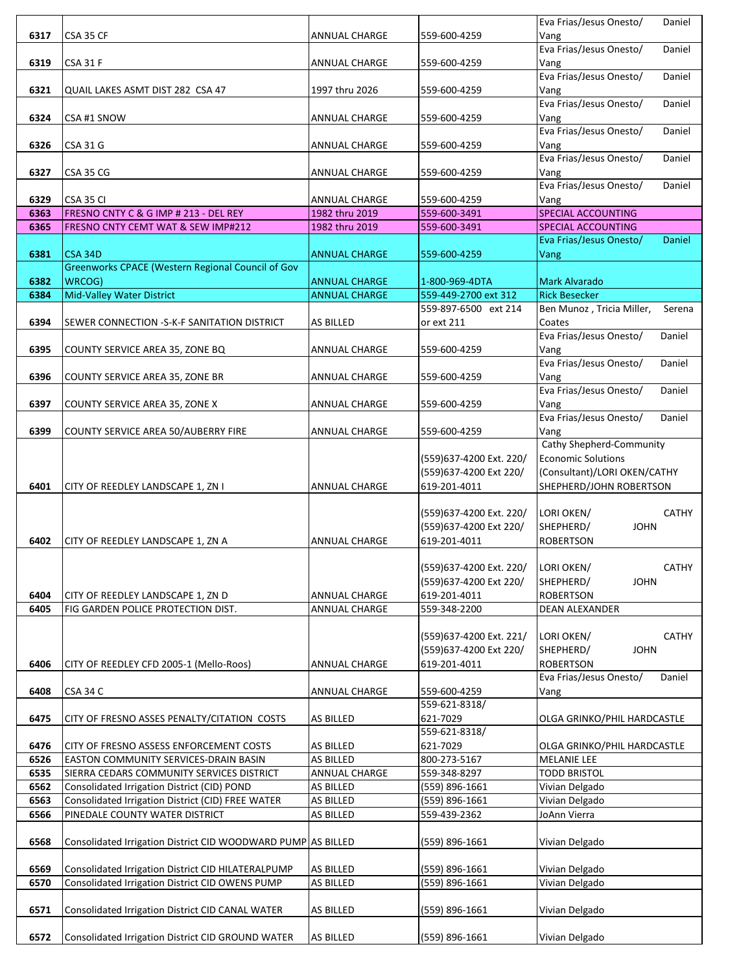|      |                                                              |                      |                                    | Eva Frias/Jesus Onesto/<br>Daniel   |
|------|--------------------------------------------------------------|----------------------|------------------------------------|-------------------------------------|
| 6317 | CSA 35 CF                                                    | <b>ANNUAL CHARGE</b> | 559-600-4259                       | Vang                                |
|      |                                                              |                      |                                    | Eva Frias/Jesus Onesto/<br>Daniel   |
| 6319 | CSA 31 F                                                     | <b>ANNUAL CHARGE</b> | 559-600-4259                       | Vang                                |
|      |                                                              |                      |                                    | Eva Frias/Jesus Onesto/<br>Daniel   |
| 6321 | QUAIL LAKES ASMT DIST 282 CSA 47                             | 1997 thru 2026       | 559-600-4259                       | Vang                                |
|      |                                                              |                      |                                    | Eva Frias/Jesus Onesto/<br>Daniel   |
| 6324 | CSA #1 SNOW                                                  | ANNUAL CHARGE        | 559-600-4259                       | Vang                                |
|      |                                                              |                      |                                    | Eva Frias/Jesus Onesto/<br>Daniel   |
| 6326 | <b>CSA 31 G</b>                                              | ANNUAL CHARGE        | 559-600-4259                       | Vang                                |
|      |                                                              |                      |                                    | Eva Frias/Jesus Onesto/<br>Daniel   |
| 6327 | CSA 35 CG                                                    | <b>ANNUAL CHARGE</b> | 559-600-4259                       | Vang                                |
|      |                                                              |                      |                                    | Eva Frias/Jesus Onesto/<br>Daniel   |
| 6329 | CSA 35 CI                                                    | ANNUAL CHARGE        | 559-600-4259                       | Vang                                |
| 6363 | FRESNO CNTY C & G IMP # 213 - DEL REY                        | 1982 thru 2019       | 559-600-3491                       | SPECIAL ACCOUNTING                  |
| 6365 | FRESNO CNTY CEMT WAT & SEW IMP#212                           | 1982 thru 2019       | 559-600-3491                       | <b>SPECIAL ACCOUNTING</b>           |
|      |                                                              |                      |                                    | Eva Frias/Jesus Onesto/<br>Daniel   |
| 6381 | <b>CSA 34D</b>                                               | <b>ANNUAL CHARGE</b> | 559-600-4259                       | Vang                                |
|      | Greenworks CPACE (Western Regional Council of Gov            |                      |                                    |                                     |
| 6382 | WRCOG)                                                       | <b>ANNUAL CHARGE</b> | 1-800-969-4DTA                     | <b>Mark Alvarado</b>                |
| 6384 | <b>Mid-Valley Water District</b>                             | <b>ANNUAL CHARGE</b> | 559-449-2700 ext 312               | <b>Rick Besecker</b>                |
|      |                                                              |                      | 559-897-6500 ext 214               | Ben Munoz, Tricia Miller,<br>Serena |
| 6394 | SEWER CONNECTION -S-K-F SANITATION DISTRICT                  | AS BILLED            | or ext 211                         | Coates                              |
|      |                                                              |                      |                                    | Eva Frias/Jesus Onesto/<br>Daniel   |
| 6395 | COUNTY SERVICE AREA 35, ZONE BQ                              | <b>ANNUAL CHARGE</b> | 559-600-4259                       | Vang                                |
|      |                                                              |                      |                                    | Eva Frias/Jesus Onesto/<br>Daniel   |
| 6396 | COUNTY SERVICE AREA 35, ZONE BR                              | <b>ANNUAL CHARGE</b> | 559-600-4259                       | Vang                                |
|      |                                                              |                      |                                    | Eva Frias/Jesus Onesto/<br>Daniel   |
| 6397 | COUNTY SERVICE AREA 35, ZONE X                               | ANNUAL CHARGE        | 559-600-4259                       | Vang                                |
|      |                                                              |                      |                                    | Eva Frias/Jesus Onesto/<br>Daniel   |
| 6399 | COUNTY SERVICE AREA 50/AUBERRY FIRE                          | ANNUAL CHARGE        | 559-600-4259                       | Vang                                |
|      |                                                              |                      |                                    | Cathy Shepherd-Community            |
|      |                                                              |                      | (559)637-4200 Ext. 220/            | <b>Economic Solutions</b>           |
|      |                                                              |                      | (559)637-4200 Ext 220/             | (Consultant)/LORI OKEN/CATHY        |
| 6401 | CITY OF REEDLEY LANDSCAPE 1, ZN I                            | <b>ANNUAL CHARGE</b> | 619-201-4011                       | SHEPHERD/JOHN ROBERTSON             |
|      |                                                              |                      |                                    |                                     |
|      |                                                              |                      | (559)637-4200 Ext. 220/            | LORI OKEN/<br><b>CATHY</b>          |
|      |                                                              |                      | (559)637-4200 Ext 220/             | <b>JOHN</b><br>SHEPHERD/            |
| 6402 | CITY OF REEDLEY LANDSCAPE 1, ZN A                            | <b>ANNUAL CHARGE</b> | 619-201-4011                       | <b>ROBERTSON</b>                    |
|      |                                                              |                      |                                    |                                     |
|      |                                                              |                      | (559)637-4200 Ext. 220/ LORI OKEN/ | CATHY                               |
|      |                                                              |                      | (559)637-4200 Ext 220/             | SHEPHERD/<br><b>JOHN</b>            |
| 6404 | CITY OF REEDLEY LANDSCAPE 1, ZN D                            | ANNUAL CHARGE        | 619-201-4011                       | <b>ROBERTSON</b>                    |
| 6405 | FIG GARDEN POLICE PROTECTION DIST.                           | ANNUAL CHARGE        | 559-348-2200                       | DEAN ALEXANDER                      |
|      |                                                              |                      |                                    |                                     |
|      |                                                              |                      | (559)637-4200 Ext. 221/            | LORI OKEN/<br><b>CATHY</b>          |
|      |                                                              |                      | (559)637-4200 Ext 220/             | SHEPHERD/<br><b>JOHN</b>            |
| 6406 | CITY OF REEDLEY CFD 2005-1 (Mello-Roos)                      | <b>ANNUAL CHARGE</b> | 619-201-4011                       | <b>ROBERTSON</b>                    |
|      |                                                              |                      |                                    | Eva Frias/Jesus Onesto/<br>Daniel   |
| 6408 | CSA 34 C                                                     | <b>ANNUAL CHARGE</b> | 559-600-4259                       | Vang                                |
|      |                                                              |                      | 559-621-8318/                      |                                     |
| 6475 | CITY OF FRESNO ASSES PENALTY/CITATION COSTS                  | AS BILLED            | 621-7029                           | OLGA GRINKO/PHIL HARDCASTLE         |
|      |                                                              |                      | 559-621-8318/                      |                                     |
| 6476 | CITY OF FRESNO ASSESS ENFORCEMENT COSTS                      | AS BILLED            | 621-7029                           | OLGA GRINKO/PHIL HARDCASTLE         |
| 6526 | EASTON COMMUNITY SERVICES-DRAIN BASIN                        | AS BILLED            | 800-273-5167                       | <b>MELANIE LEE</b>                  |
| 6535 | SIERRA CEDARS COMMUNITY SERVICES DISTRICT                    | ANNUAL CHARGE        | 559-348-8297                       | <b>TODD BRISTOL</b>                 |
| 6562 | Consolidated Irrigation District (CID) POND                  | AS BILLED            | (559) 896-1661                     | Vivian Delgado                      |
| 6563 | Consolidated Irrigation District (CID) FREE WATER            | AS BILLED            | (559) 896-1661                     | Vivian Delgado                      |
| 6566 | PINEDALE COUNTY WATER DISTRICT                               | AS BILLED            | 559-439-2362                       | JoAnn Vierra                        |
|      |                                                              |                      |                                    |                                     |
| 6568 | Consolidated Irrigation District CID WOODWARD PUMP AS BILLED |                      | (559) 896-1661                     | Vivian Delgado                      |
|      |                                                              |                      |                                    |                                     |
| 6569 | Consolidated Irrigation District CID HILATERALPUMP           | <b>AS BILLED</b>     | (559) 896-1661                     | Vivian Delgado                      |
| 6570 | Consolidated Irrigation District CID OWENS PUMP              | AS BILLED            | (559) 896-1661                     | Vivian Delgado                      |
|      |                                                              |                      |                                    |                                     |
| 6571 | Consolidated Irrigation District CID CANAL WATER             | AS BILLED            | (559) 896-1661                     | Vivian Delgado                      |
|      |                                                              |                      |                                    |                                     |
| 6572 | Consolidated Irrigation District CID GROUND WATER            | <b>AS BILLED</b>     | (559) 896-1661                     | Vivian Delgado                      |
|      |                                                              |                      |                                    |                                     |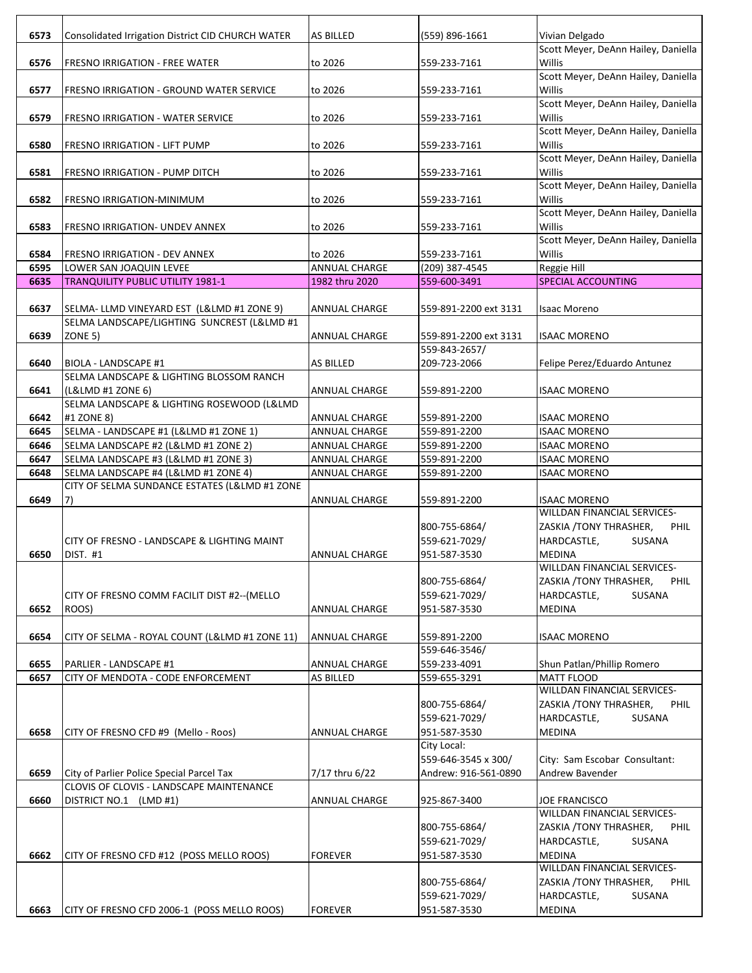| 6573         | Consolidated Irrigation District CID CHURCH WATER                                        | AS BILLED            | (559) 896-1661               | Vivian Delgado                                     |
|--------------|------------------------------------------------------------------------------------------|----------------------|------------------------------|----------------------------------------------------|
|              |                                                                                          |                      |                              | Scott Meyer, DeAnn Hailey, Daniella                |
| 6576         | <b>FRESNO IRRIGATION - FREE WATER</b>                                                    | to 2026              | 559-233-7161                 | Willis                                             |
|              |                                                                                          |                      |                              | Scott Meyer, DeAnn Hailey, Daniella                |
| 6577         | <b>FRESNO IRRIGATION - GROUND WATER SERVICE</b>                                          | to 2026              | 559-233-7161                 | Willis                                             |
|              |                                                                                          |                      |                              | Scott Meyer, DeAnn Hailey, Daniella                |
| 6579         | <b>FRESNO IRRIGATION - WATER SERVICE</b>                                                 | to 2026              | 559-233-7161                 | Willis                                             |
|              |                                                                                          |                      |                              | Scott Meyer, DeAnn Hailey, Daniella<br>Willis      |
| 6580         | FRESNO IRRIGATION - LIFT PUMP                                                            | to 2026              | 559-233-7161                 | Scott Meyer, DeAnn Hailey, Daniella                |
| 6581         | <b>FRESNO IRRIGATION - PUMP DITCH</b>                                                    | to 2026              | 559-233-7161                 | Willis                                             |
|              |                                                                                          |                      |                              | Scott Meyer, DeAnn Hailey, Daniella                |
| 6582         | FRESNO IRRIGATION-MINIMUM                                                                | to 2026              | 559-233-7161                 | Willis                                             |
|              |                                                                                          |                      |                              | Scott Meyer, DeAnn Hailey, Daniella                |
| 6583         | FRESNO IRRIGATION- UNDEV ANNEX                                                           | to 2026              | 559-233-7161                 | Willis                                             |
|              |                                                                                          |                      |                              | Scott Meyer, DeAnn Hailey, Daniella                |
| 6584         | FRESNO IRRIGATION - DEV ANNEX                                                            | to 2026              | 559-233-7161                 | Willis                                             |
| 6595         | LOWER SAN JOAQUIN LEVEE                                                                  | ANNUAL CHARGE        | (209) 387-4545               | Reggie Hill                                        |
| 6635         | <b>TRANQUILITY PUBLIC UTILITY 1981-1</b>                                                 | 1982 thru 2020       | 559-600-3491                 | <b>SPECIAL ACCOUNTING</b>                          |
|              |                                                                                          |                      |                              |                                                    |
| 6637         | SELMA-LLMD VINEYARD EST (L&LMD #1 ZONE 9)<br>SELMA LANDSCAPE/LIGHTING SUNCREST (L&LMD #1 | <b>ANNUAL CHARGE</b> | 559-891-2200 ext 3131        | <b>Isaac Moreno</b>                                |
| 6639         | ZONE 5)                                                                                  | ANNUAL CHARGE        | 559-891-2200 ext 3131        | <b>ISAAC MORENO</b>                                |
|              |                                                                                          |                      | 559-843-2657/                |                                                    |
| 6640         | BIOLA - LANDSCAPE #1                                                                     | <b>AS BILLED</b>     | 209-723-2066                 | Felipe Perez/Eduardo Antunez                       |
|              | SELMA LANDSCAPE & LIGHTING BLOSSOM RANCH                                                 |                      |                              |                                                    |
| 6641         | (L&LMD #1 ZONE 6)                                                                        | <b>ANNUAL CHARGE</b> | 559-891-2200                 | ISAAC MORENO                                       |
|              | SELMA LANDSCAPE & LIGHTING ROSEWOOD (L&LMD                                               |                      |                              |                                                    |
| 6642         | #1 ZONE 8)                                                                               | ANNUAL CHARGE        | 559-891-2200                 | ISAAC MORENO                                       |
| 6645         | SELMA - LANDSCAPE #1 (L&LMD #1 ZONE 1)                                                   | ANNUAL CHARGE        | 559-891-2200                 | ISAAC MORENO                                       |
| 6646         | SELMA LANDSCAPE #2 (L&LMD #1 ZONE 2)                                                     | <b>ANNUAL CHARGE</b> | 559-891-2200                 | <b>ISAAC MORENO</b>                                |
| 6647         | SELMA LANDSCAPE #3 (L&LMD #1 ZONE 3)                                                     | ANNUAL CHARGE        | 559-891-2200                 | <b>ISAAC MORENO</b>                                |
| 6648         | SELMA LANDSCAPE #4 (L&LMD #1 ZONE 4)                                                     | ANNUAL CHARGE        | 559-891-2200                 | ISAAC MORENO                                       |
|              | CITY OF SELMA SUNDANCE ESTATES (L&LMD #1 ZONE                                            |                      |                              |                                                    |
| 6649         | 7)                                                                                       | <b>ANNUAL CHARGE</b> | 559-891-2200                 | ISAAC MORENO<br><b>WILLDAN FINANCIAL SERVICES-</b> |
|              |                                                                                          |                      | 800-755-6864/                | ZASKIA /TONY THRASHER,<br>PHIL                     |
|              | CITY OF FRESNO - LANDSCAPE & LIGHTING MAINT                                              |                      | 559-621-7029/                | HARDCASTLE,<br><b>SUSANA</b>                       |
| 6650         | <b>DIST. #1</b>                                                                          | <b>ANNUAL CHARGE</b> | 951-587-3530                 | <b>MEDINA</b>                                      |
|              |                                                                                          |                      |                              | WILLDAN FINANCIAL SERVICES-                        |
|              |                                                                                          |                      | 800-755-6864/                | ZASKIA / TONY THRASHER,<br><b>PHIL</b>             |
|              | CITY OF FRESNO COMM FACILIT DIST #2--(MELLO                                              |                      | 559-621-7029/                | HARDCASTLE,<br>SUSANA                              |
| 6652         | ROOS)                                                                                    | <b>ANNUAL CHARGE</b> | 951-587-3530                 | <b>MEDINA</b>                                      |
|              |                                                                                          |                      |                              |                                                    |
| 6654         | CITY OF SELMA - ROYAL COUNT (L&LMD #1 ZONE 11)                                           | <b>ANNUAL CHARGE</b> | 559-891-2200                 | ISAAC MORENO                                       |
|              |                                                                                          |                      | 559-646-3546/                |                                                    |
| 6655<br>6657 | PARLIER - LANDSCAPE #1<br>CITY OF MENDOTA - CODE ENFORCEMENT                             | <b>ANNUAL CHARGE</b> | 559-233-4091<br>559-655-3291 | Shun Patlan/Phillip Romero<br>MATT FLOOD           |
|              |                                                                                          | AS BILLED            |                              | WILLDAN FINANCIAL SERVICES-                        |
|              |                                                                                          |                      | 800-755-6864/                | ZASKIA /TONY THRASHER,<br>PHIL                     |
|              |                                                                                          |                      | 559-621-7029/                | HARDCASTLE,<br>SUSANA                              |
| 6658         | CITY OF FRESNO CFD #9 (Mello - Roos)                                                     | ANNUAL CHARGE        | 951-587-3530                 | MEDINA                                             |
|              |                                                                                          |                      | City Local:                  |                                                    |
|              |                                                                                          |                      | 559-646-3545 x 300/          | City: Sam Escobar Consultant:                      |
| 6659         | City of Parlier Police Special Parcel Tax                                                | 7/17 thru 6/22       | Andrew: 916-561-0890         | Andrew Bavender                                    |
|              | CLOVIS OF CLOVIS - LANDSCAPE MAINTENANCE                                                 |                      |                              |                                                    |
| 6660         | DISTRICT NO.1 (LMD #1)                                                                   | <b>ANNUAL CHARGE</b> | 925-867-3400                 | JOE FRANCISCO                                      |
|              |                                                                                          |                      |                              | WILLDAN FINANCIAL SERVICES-                        |
|              |                                                                                          |                      | 800-755-6864/                | ZASKIA /TONY THRASHER,<br>PHIL                     |
|              |                                                                                          |                      | 559-621-7029/                | HARDCASTLE,<br>SUSANA                              |
| 6662         | CITY OF FRESNO CFD #12 (POSS MELLO ROOS)                                                 | <b>FOREVER</b>       | 951-587-3530                 | <b>MEDINA</b>                                      |
|              |                                                                                          |                      |                              | WILLDAN FINANCIAL SERVICES-                        |
|              |                                                                                          |                      | 800-755-6864/                | ZASKIA / TONY THRASHER,<br><b>PHIL</b>             |
|              | CITY OF FRESNO CFD 2006-1 (POSS MELLO ROOS)                                              | <b>FOREVER</b>       | 559-621-7029/                | HARDCASTLE,<br>SUSANA<br><b>MEDINA</b>             |
| 6663         |                                                                                          |                      | 951-587-3530                 |                                                    |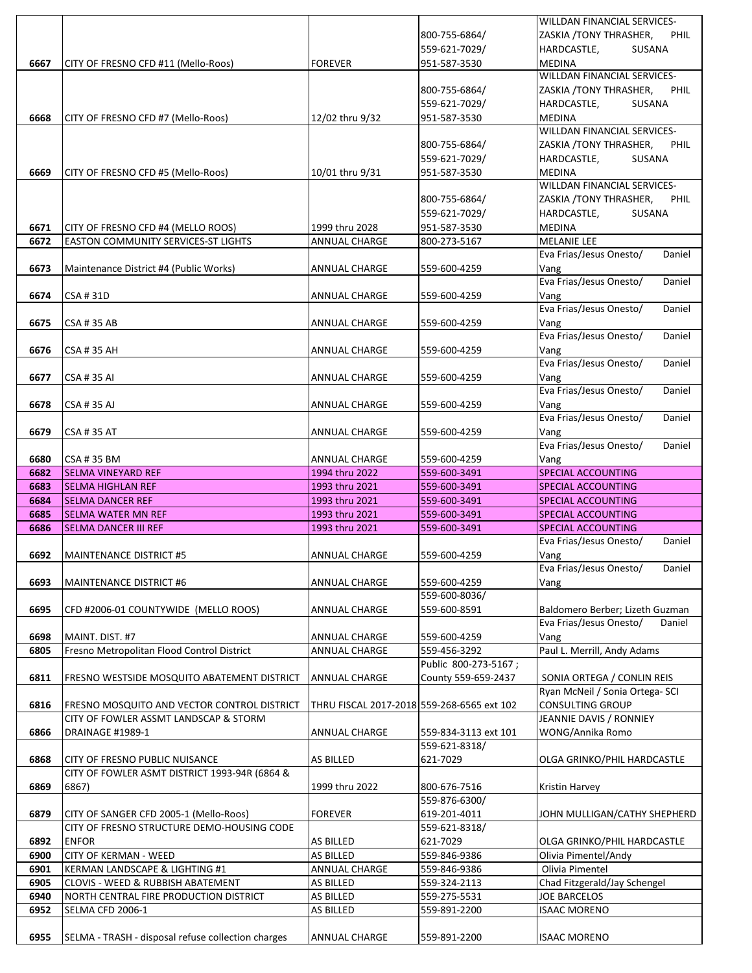|      |                                               |                                            |                      | WILLDAN FINANCIAL SERVICES-            |
|------|-----------------------------------------------|--------------------------------------------|----------------------|----------------------------------------|
|      |                                               |                                            | 800-755-6864/        | ZASKIA / TONY THRASHER,<br><b>PHIL</b> |
|      |                                               |                                            | 559-621-7029/        | HARDCASTLE,<br>SUSANA                  |
| 6667 | CITY OF FRESNO CFD #11 (Mello-Roos)           | <b>FOREVER</b>                             | 951-587-3530         | <b>MEDINA</b>                          |
|      |                                               |                                            |                      | WILLDAN FINANCIAL SERVICES-            |
|      |                                               |                                            | 800-755-6864/        | ZASKIA /TONY THRASHER,<br><b>PHIL</b>  |
|      |                                               |                                            | 559-621-7029/        | HARDCASTLE.<br>SUSANA                  |
| 6668 | CITY OF FRESNO CFD #7 (Mello-Roos)            | 12/02 thru 9/32                            | 951-587-3530         | <b>MEDINA</b>                          |
|      |                                               |                                            |                      | WILLDAN FINANCIAL SERVICES-            |
|      |                                               |                                            | 800-755-6864/        | ZASKIA /TONY THRASHER,<br><b>PHIL</b>  |
|      |                                               |                                            | 559-621-7029/        | HARDCASTLE,<br>SUSANA                  |
| 6669 | CITY OF FRESNO CFD #5 (Mello-Roos)            | 10/01 thru 9/31                            | 951-587-3530         | <b>MEDINA</b>                          |
|      |                                               |                                            |                      | WILLDAN FINANCIAL SERVICES-            |
|      |                                               |                                            | 800-755-6864/        | ZASKIA / TONY THRASHER,<br><b>PHIL</b> |
|      |                                               |                                            | 559-621-7029/        | HARDCASTLE,<br>SUSANA                  |
| 6671 | CITY OF FRESNO CFD #4 (MELLO ROOS)            | 1999 thru 2028                             | 951-587-3530         | <b>MEDINA</b>                          |
| 6672 | <b>EASTON COMMUNITY SERVICES-ST LIGHTS</b>    | <b>ANNUAL CHARGE</b>                       | 800-273-5167         | <b>MELANIE LEE</b>                     |
|      |                                               |                                            |                      | Eva Frias/Jesus Onesto/<br>Daniel      |
| 6673 | Maintenance District #4 (Public Works)        | ANNUAL CHARGE                              | 559-600-4259         | Vang                                   |
|      |                                               |                                            |                      | Eva Frias/Jesus Onesto/<br>Daniel      |
| 6674 | <b>CSA #31D</b>                               | ANNUAL CHARGE                              | 559-600-4259         | Vang                                   |
|      |                                               |                                            |                      | Eva Frias/Jesus Onesto/<br>Daniel      |
| 6675 | <b>CSA #35 AB</b>                             | <b>ANNUAL CHARGE</b>                       | 559-600-4259         | Vang                                   |
|      |                                               |                                            |                      | Eva Frias/Jesus Onesto/<br>Daniel      |
| 6676 | <b>CSA #35 AH</b>                             | <b>ANNUAL CHARGE</b>                       | 559-600-4259         | Vang                                   |
|      |                                               |                                            |                      | Eva Frias/Jesus Onesto/<br>Daniel      |
| 6677 | CSA # 35 AI                                   | ANNUAL CHARGE                              | 559-600-4259         | Vang                                   |
|      |                                               |                                            |                      | Eva Frias/Jesus Onesto/<br>Daniel      |
| 6678 | CSA # 35 AJ                                   | ANNUAL CHARGE                              | 559-600-4259         | Vang                                   |
|      |                                               |                                            |                      | Eva Frias/Jesus Onesto/<br>Daniel      |
| 6679 | <b>CSA #35 AT</b>                             | <b>ANNUAL CHARGE</b>                       | 559-600-4259         | Vang                                   |
|      |                                               |                                            |                      | Eva Frias/Jesus Onesto/<br>Daniel      |
| 6680 | CSA #35 BM                                    | <b>ANNUAL CHARGE</b>                       | 559-600-4259         | Vang                                   |
| 6682 | SELMA VINEYARD REF                            | 1994 thru 2022                             | 559-600-3491         | SPECIAL ACCOUNTING                     |
|      |                                               |                                            |                      |                                        |
| 6683 | <b>SELMA HIGHLAN REF</b>                      | 1993 thru 2021                             | 559-600-3491         | <b>SPECIAL ACCOUNTING</b>              |
| 6684 | <b>SELMA DANCER REF</b>                       | 1993 thru 2021                             | 559-600-3491         | SPECIAL ACCOUNTING                     |
| 6685 | SELMA WATER MN REF                            | 1993 thru 2021                             | 559-600-3491         | SPECIAL ACCOUNTING                     |
| 6686 | <b>SELMA DANCER III REF</b>                   | 1993 thru 2021                             | 559-600-3491         | SPECIAL ACCOUNTING                     |
|      |                                               |                                            |                      | Eva Frias/Jesus Onesto/<br>Daniel      |
| 6692 | <b>MAINTENANCE DISTRICT #5</b>                | ANNUAL CHARGE                              | 559-600-4259         | Vang                                   |
|      |                                               |                                            |                      | Eva Frias/Jesus Onesto/<br>Daniel      |
| 6693 | MAINTENANCE DISTRICT #6                       | <b>ANNUAL CHARGE</b>                       | 559-600-4259         | Vang                                   |
|      |                                               |                                            | 559-600-8036/        |                                        |
| 6695 | CFD #2006-01 COUNTYWIDE (MELLO ROOS)          | ANNUAL CHARGE                              | 559-600-8591         | Baldomero Berber; Lizeth Guzman        |
|      |                                               |                                            |                      | Eva Frias/Jesus Onesto/<br>Daniel      |
| 6698 | MAINT. DIST. #7                               | <b>ANNUAL CHARGE</b>                       | 559-600-4259         | Vang                                   |
| 6805 | Fresno Metropolitan Flood Control District    | ANNUAL CHARGE                              | 559-456-3292         | Paul L. Merrill, Andy Adams            |
|      |                                               |                                            | Public 800-273-5167; |                                        |
| 6811 | FRESNO WESTSIDE MOSQUITO ABATEMENT DISTRICT   | <b>ANNUAL CHARGE</b>                       | County 559-659-2437  | SONIA ORTEGA / CONLIN REIS             |
|      |                                               |                                            |                      | Ryan McNeil / Sonia Ortega-SCI         |
| 6816 | FRESNO MOSQUITO AND VECTOR CONTROL DISTRICT   | THRU FISCAL 2017-2018 559-268-6565 ext 102 |                      | <b>CONSULTING GROUP</b>                |
|      | CITY OF FOWLER ASSMT LANDSCAP & STORM         |                                            |                      | JEANNIE DAVIS / RONNIEY                |
| 6866 | DRAINAGE #1989-1                              | ANNUAL CHARGE                              | 559-834-3113 ext 101 | WONG/Annika Romo                       |
|      |                                               |                                            | 559-621-8318/        |                                        |
| 6868 | CITY OF FRESNO PUBLIC NUISANCE                | AS BILLED                                  | 621-7029             | OLGA GRINKO/PHIL HARDCASTLE            |
|      | CITY OF FOWLER ASMT DISTRICT 1993-94R (6864 & |                                            |                      |                                        |
| 6869 | 6867)                                         | 1999 thru 2022                             | 800-676-7516         | Kristin Harvey                         |
|      |                                               |                                            | 559-876-6300/        |                                        |
| 6879 | CITY OF SANGER CFD 2005-1 (Mello-Roos)        | <b>FOREVER</b>                             | 619-201-4011         | JOHN MULLIGAN/CATHY SHEPHERD           |
|      | CITY OF FRESNO STRUCTURE DEMO-HOUSING CODE    |                                            | 559-621-8318/        |                                        |
| 6892 | <b>ENFOR</b>                                  | AS BILLED                                  | 621-7029             | OLGA GRINKO/PHIL HARDCASTLE            |
| 6900 | <b>CITY OF KERMAN - WEED</b>                  | AS BILLED                                  | 559-846-9386         | Olivia Pimentel/Andy                   |
| 6901 | KERMAN LANDSCAPE & LIGHTING #1                | ANNUAL CHARGE                              | 559-846-9386         | Olivia Pimentel                        |
| 6905 | <b>CLOVIS - WEED &amp; RUBBISH ABATEMENT</b>  | AS BILLED                                  | 559-324-2113         | Chad Fitzgerald/Jay Schengel           |
| 6940 | NORTH CENTRAL FIRE PRODUCTION DISTRICT        | <b>AS BILLED</b>                           | 559-275-5531         | <b>JOE BARCELOS</b>                    |
| 6952 | SELMA CFD 2006-1                              | AS BILLED                                  | 559-891-2200         | <b>ISAAC MORENO</b>                    |
|      |                                               |                                            |                      |                                        |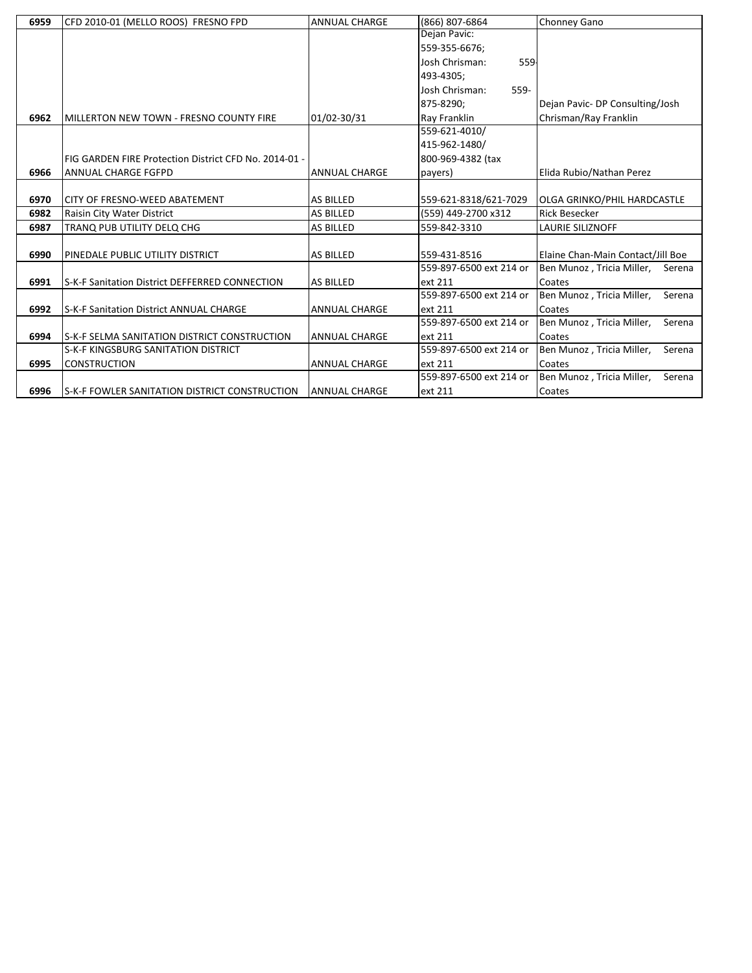| 6959 | CFD 2010-01 (MELLO ROOS) FRESNO FPD                   | <b>ANNUAL CHARGE</b> | (866) 807-6864          | Chonney Gano                         |
|------|-------------------------------------------------------|----------------------|-------------------------|--------------------------------------|
|      |                                                       |                      | Dejan Pavic:            |                                      |
|      |                                                       |                      | 559-355-6676;           |                                      |
|      |                                                       |                      | Josh Chrisman:<br>559-  |                                      |
|      |                                                       |                      | 493-4305;               |                                      |
|      |                                                       |                      | Josh Chrisman:<br>559-  |                                      |
|      |                                                       |                      | 875-8290;               | Dejan Pavic- DP Consulting/Josh      |
| 6962 | MILLERTON NEW TOWN - FRESNO COUNTY FIRE               | 01/02-30/31          | Ray Franklin            | Chrisman/Ray Franklin                |
|      |                                                       |                      | 559-621-4010/           |                                      |
|      |                                                       |                      | 415-962-1480/           |                                      |
|      | FIG GARDEN FIRE Protection District CFD No. 2014-01 - |                      | 800-969-4382 (tax       |                                      |
| 6966 | <b>ANNUAL CHARGE FGFPD</b>                            | <b>ANNUAL CHARGE</b> | payers)                 | Elida Rubio/Nathan Perez             |
|      |                                                       |                      |                         |                                      |
| 6970 | CITY OF FRESNO-WEED ABATEMENT                         | <b>AS BILLED</b>     | 559-621-8318/621-7029   | <b>OLGA GRINKO/PHIL HARDCASTLE</b>   |
| 6982 | Raisin City Water District                            | <b>AS BILLED</b>     | (559) 449-2700 x312     | <b>Rick Besecker</b>                 |
| 6987 | TRANQ PUB UTILITY DELQ CHG                            | <b>AS BILLED</b>     | 559-842-3310            | <b>LAURIE SILIZNOFF</b>              |
|      |                                                       |                      |                         |                                      |
| 6990 | PINEDALE PUBLIC UTILITY DISTRICT                      | <b>AS BILLED</b>     | 559-431-8516            | Elaine Chan-Main Contact/Jill Boe    |
|      |                                                       |                      | 559-897-6500 ext 214 or | Ben Munoz , Tricia Miller,<br>Serena |
| 6991 | S-K-F Sanitation District DEFFERRED CONNECTION        | <b>AS BILLED</b>     | ext 211                 | Coates                               |
|      |                                                       |                      | 559-897-6500 ext 214 or | Ben Munoz, Tricia Miller,<br>Serena  |
| 6992 | S-K-F Sanitation District ANNUAL CHARGE               | <b>ANNUAL CHARGE</b> | ext 211                 | Coates                               |
|      |                                                       |                      | 559-897-6500 ext 214 or | Ben Munoz, Tricia Miller,<br>Serena  |
| 6994 | <b>IS-K-F SELMA SANITATION DISTRICT CONSTRUCTION</b>  | <b>ANNUAL CHARGE</b> | ext 211                 | Coates                               |
|      | S-K-F KINGSBURG SANITATION DISTRICT                   |                      | 559-897-6500 ext 214 or | Ben Munoz, Tricia Miller,<br>Serena  |
| 6995 | <b>CONSTRUCTION</b>                                   | <b>ANNUAL CHARGE</b> | ext 211                 | Coates                               |
|      |                                                       |                      | 559-897-6500 ext 214 or | Serena<br>Ben Munoz, Tricia Miller,  |
| 6996 | S-K-F FOWLER SANITATION DISTRICT CONSTRUCTION         | <b>ANNUAL CHARGE</b> | ext 211                 | Coates                               |